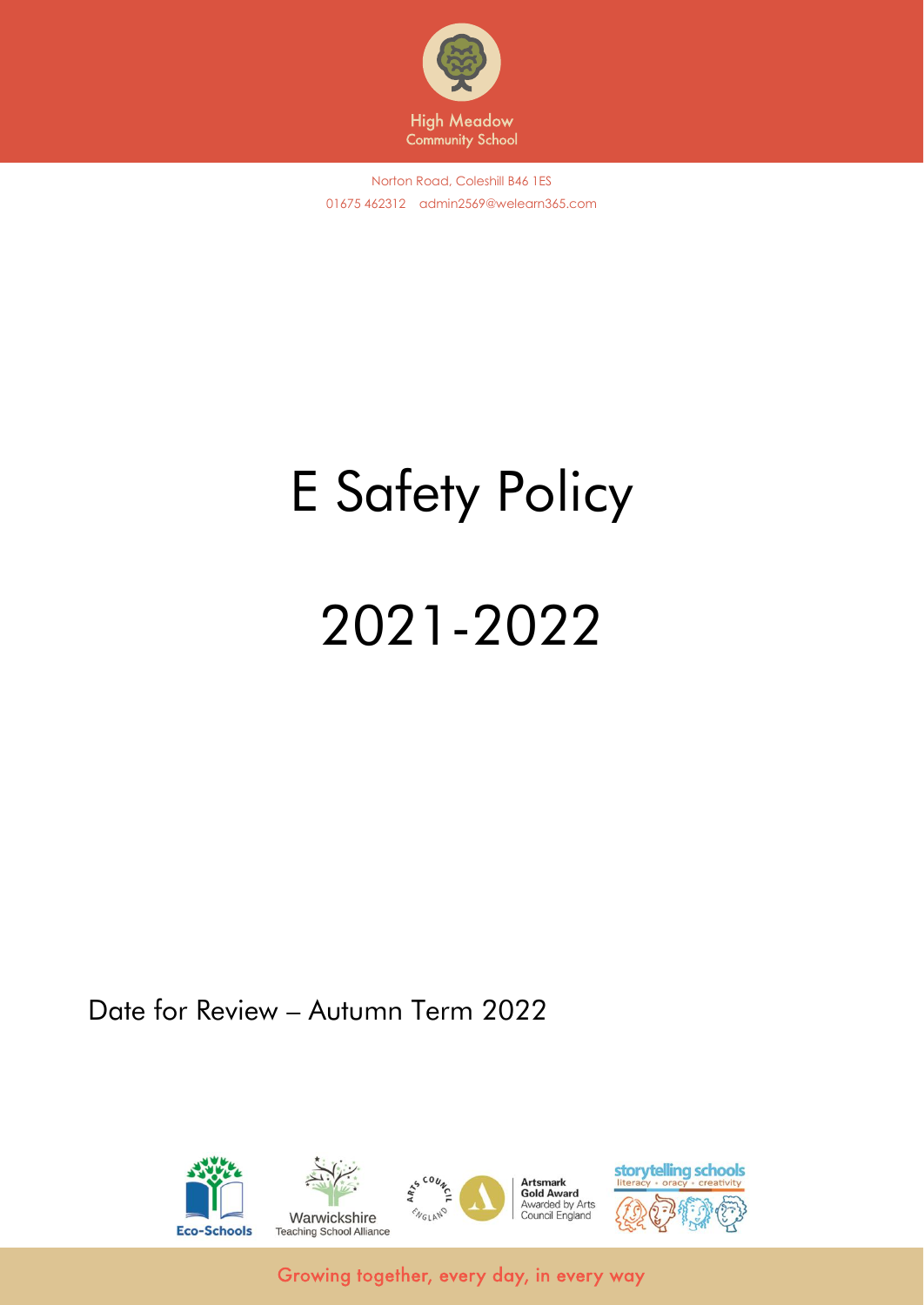

# E Safety Policy

# 2021-2022

Date for Review – Autumn Term 2022

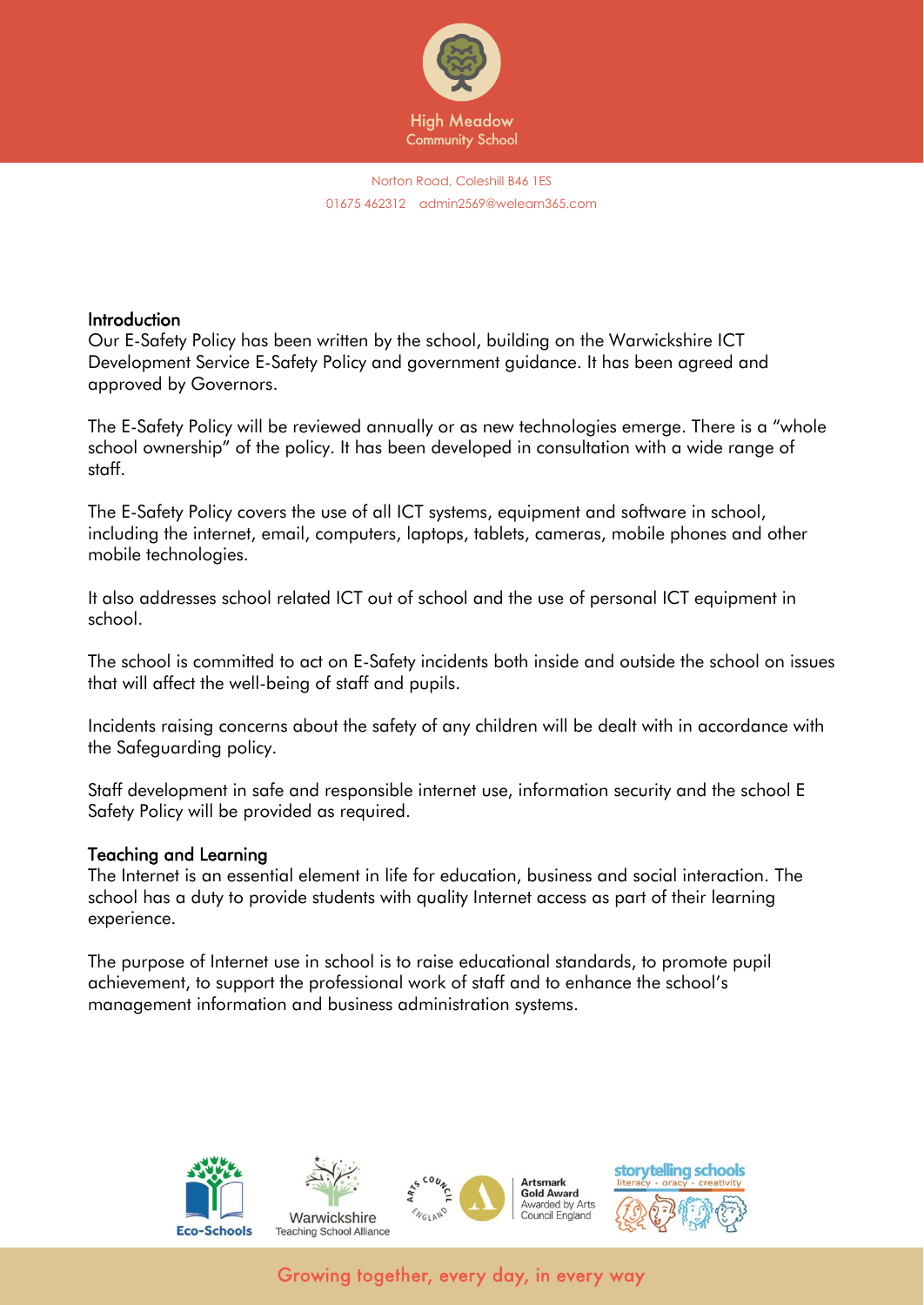

#### **Introduction**

Our E-Safety Policy has been written by the school, building on the Warwickshire ICT Development Service E-Safety Policy and government guidance. It has been agreed and approved by Governors.

The E-Safety Policy will be reviewed annually or as new technologies emerge. There is a "whole school ownership" of the policy. It has been developed in consultation with a wide range of staff.

The E-Safety Policy covers the use of all ICT systems, equipment and software in school, including the internet, email, computers, laptops, tablets, cameras, mobile phones and other mobile technologies.

It also addresses school related ICT out of school and the use of personal ICT equipment in school.

The school is committed to act on E-Safety incidents both inside and outside the school on issues that will affect the well-being of staff and pupils.

Incidents raising concerns about the safety of any children will be dealt with in accordance with the Safeguarding policy.

Staff development in safe and responsible internet use, information security and the school E Safety Policy will be provided as required.

#### Teaching and Learning

The Internet is an essential element in life for education, business and social interaction. The school has a duty to provide students with quality Internet access as part of their learning experience.

The purpose of Internet use in school is to raise educational standards, to promote pupil achievement, to support the professional work of staff and to enhance the school's management information and business administration systems.

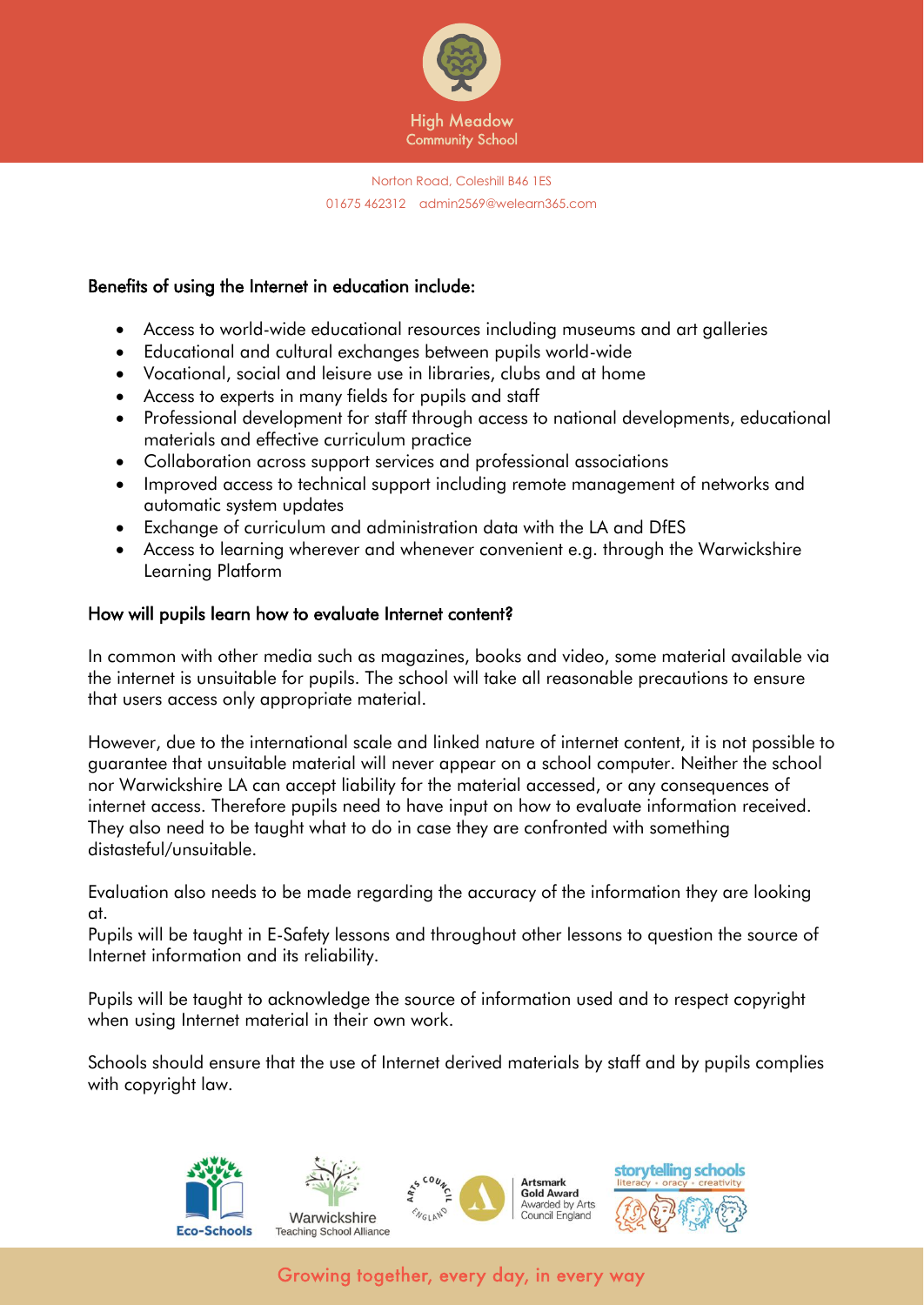

#### Benefits of using the Internet in education include:

- Access to world-wide educational resources including museums and art galleries
- Educational and cultural exchanges between pupils world-wide
- Vocational, social and leisure use in libraries, clubs and at home
- Access to experts in many fields for pupils and staff
- Professional development for staff through access to national developments, educational materials and effective curriculum practice
- Collaboration across support services and professional associations
- Improved access to technical support including remote management of networks and automatic system updates
- Exchange of curriculum and administration data with the LA and DfES
- Access to learning wherever and whenever convenient e.g. through the Warwickshire Learning Platform

#### How will pupils learn how to evaluate Internet content?

In common with other media such as magazines, books and video, some material available via the internet is unsuitable for pupils. The school will take all reasonable precautions to ensure that users access only appropriate material.

However, due to the international scale and linked nature of internet content, it is not possible to guarantee that unsuitable material will never appear on a school computer. Neither the school nor Warwickshire LA can accept liability for the material accessed, or any consequences of internet access. Therefore pupils need to have input on how to evaluate information received. They also need to be taught what to do in case they are confronted with something distasteful/unsuitable.

Evaluation also needs to be made regarding the accuracy of the information they are looking at.

Pupils will be taught in E-Safety lessons and throughout other lessons to question the source of Internet information and its reliability.

Pupils will be taught to acknowledge the source of information used and to respect copyright when using Internet material in their own work.

Schools should ensure that the use of Internet derived materials by staff and by pupils complies with copyright law.

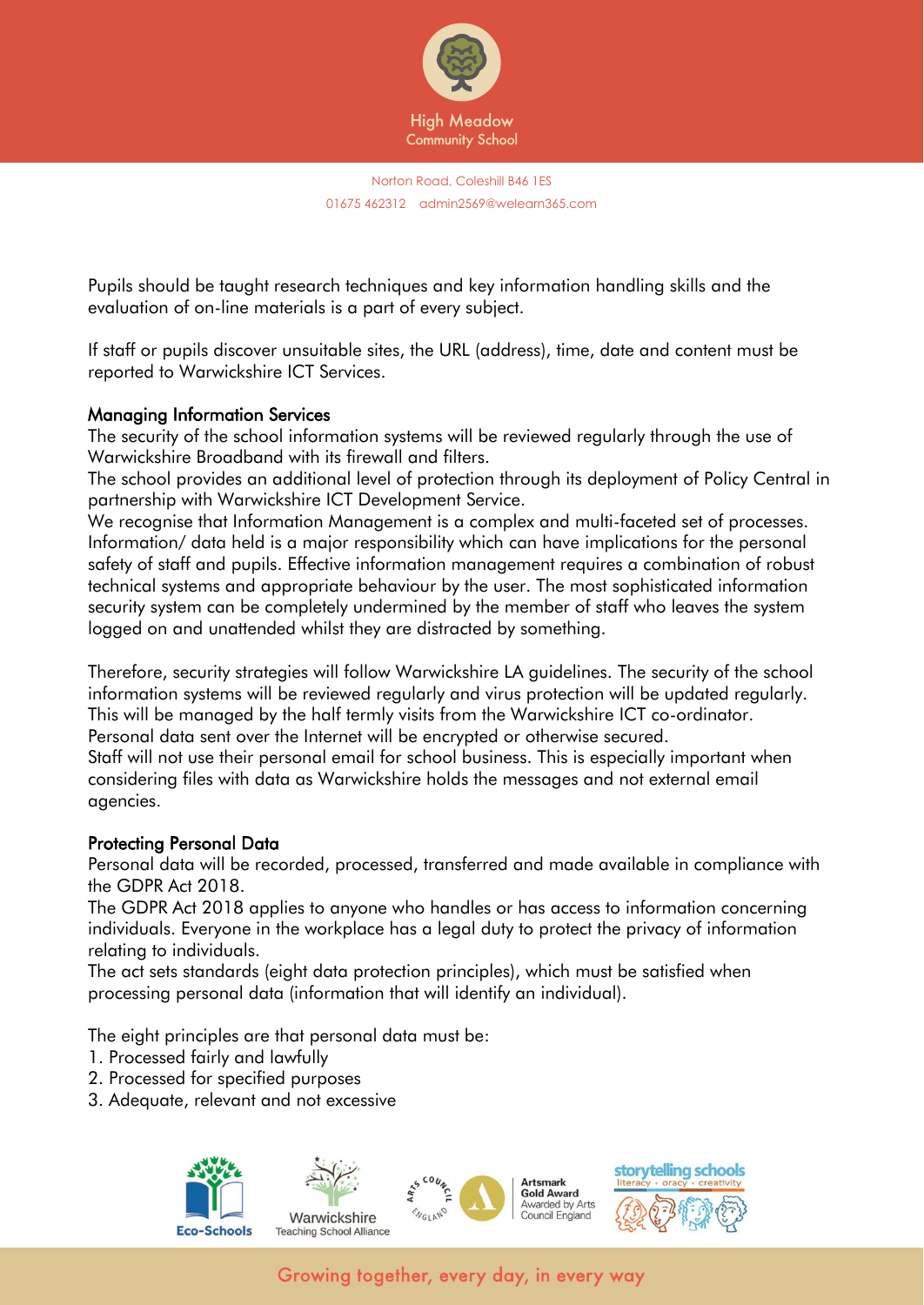

Pupils should be taught research techniques and key information handling skills and the evaluation of on-line materials is a part of every subject.

If staff or pupils discover unsuitable sites, the URL (address), time, date and content must be reported to Warwickshire ICT Services.

#### Managing Information Services

The security of the school information systems will be reviewed regularly through the use of Warwickshire Broadband with its firewall and filters.

The school provides an additional level of protection through its deployment of Policy Central in partnership with Warwickshire ICT Development Service.

We recognise that Information Management is a complex and multi-faceted set of processes. Information/ data held is a major responsibility which can have implications for the personal safety of staff and pupils. Effective information management requires a combination of robust technical systems and appropriate behaviour by the user. The most sophisticated information security system can be completely undermined by the member of staff who leaves the system logged on and unattended whilst they are distracted by something.

Therefore, security strategies will follow Warwickshire LA guidelines. The security of the school information systems will be reviewed regularly and virus protection will be updated regularly. This will be managed by the half termly visits from the Warwickshire ICT co-ordinator. Personal data sent over the Internet will be encrypted or otherwise secured.

Staff will not use their personal email for school business. This is especially important when considering files with data as Warwickshire holds the messages and not external email agencies.

#### Protecting Personal Data

Personal data will be recorded, processed, transferred and made available in compliance with the GDPR Act 2018.

The GDPR Act 2018 applies to anyone who handles or has access to information concerning individuals. Everyone in the workplace has a legal duty to protect the privacy of information relating to individuals.

The act sets standards (eight data protection principles), which must be satisfied when processing personal data (information that will identify an individual).

The eight principles are that personal data must be:

- 1. Processed fairly and lawfully
- 2. Processed for specified purposes
- 3. Adequate, relevant and not excessive

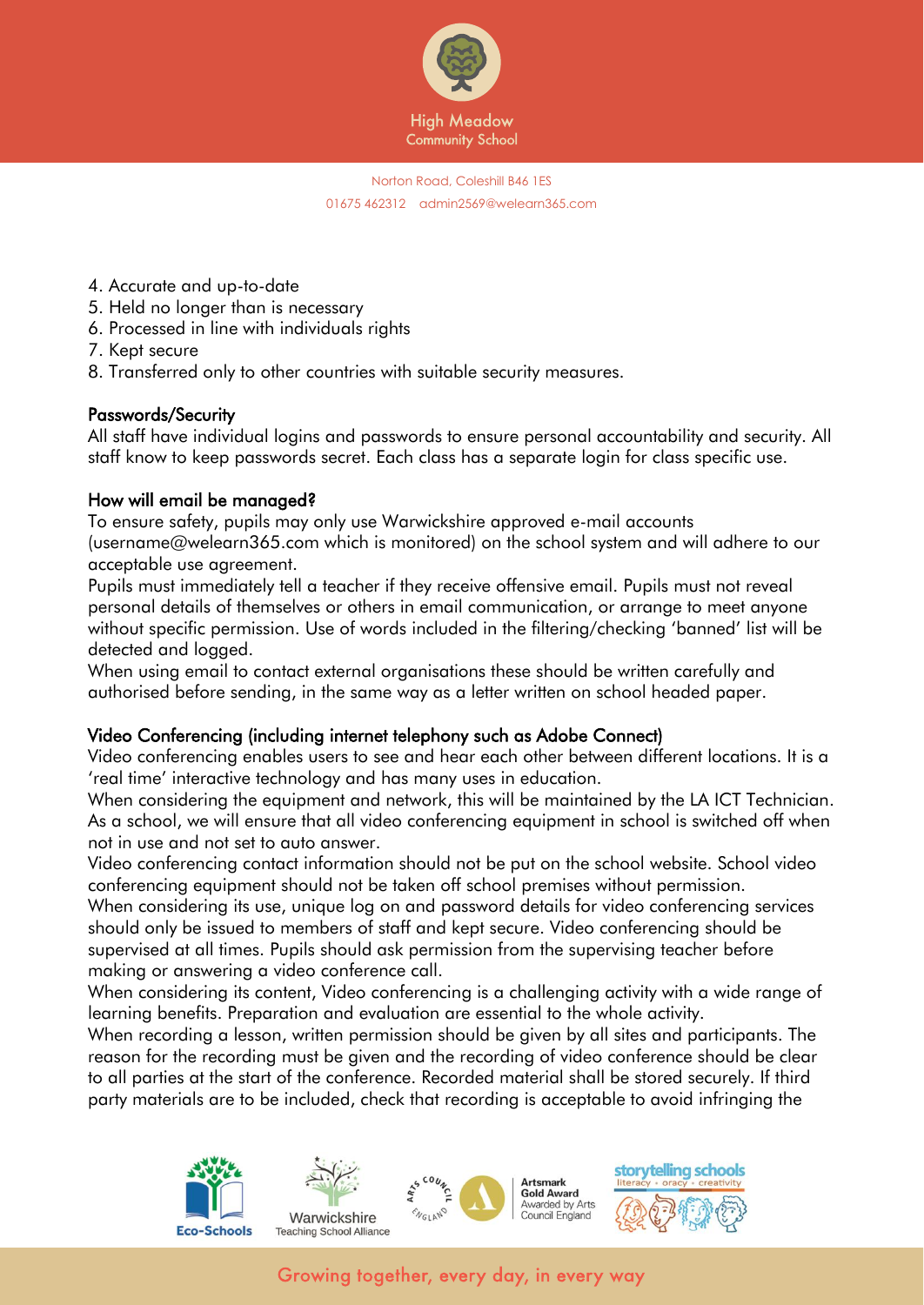

- 4. Accurate and up-to-date
- 5. Held no longer than is necessary
- 6. Processed in line with individuals rights
- 7. Kept secure
- 8. Transferred only to other countries with suitable security measures.

#### Passwords/Security

All staff have individual logins and passwords to ensure personal accountability and security. All staff know to keep passwords secret. Each class has a separate login for class specific use.

#### How will email be managed?

To ensure safety, pupils may only use Warwickshire approved e-mail accounts (username@welearn365.com which is monitored) on the school system and will adhere to our acceptable use agreement.

Pupils must immediately tell a teacher if they receive offensive email. Pupils must not reveal personal details of themselves or others in email communication, or arrange to meet anyone without specific permission. Use of words included in the filtering/checking 'banned' list will be detected and logged.

When using email to contact external organisations these should be written carefully and authorised before sending, in the same way as a letter written on school headed paper.

#### Video Conferencing (including internet telephony such as Adobe Connect)

Video conferencing enables users to see and hear each other between different locations. It is a 'real time' interactive technology and has many uses in education.

When considering the equipment and network, this will be maintained by the LA ICT Technician. As a school, we will ensure that all video conferencing equipment in school is switched off when not in use and not set to auto answer.

Video conferencing contact information should not be put on the school website. School video conferencing equipment should not be taken off school premises without permission.

When considering its use, unique log on and password details for video conferencing services should only be issued to members of staff and kept secure. Video conferencing should be supervised at all times. Pupils should ask permission from the supervising teacher before making or answering a video conference call.

When considering its content, Video conferencing is a challenging activity with a wide range of learning benefits. Preparation and evaluation are essential to the whole activity.

When recording a lesson, written permission should be given by all sites and participants. The reason for the recording must be given and the recording of video conference should be clear to all parties at the start of the conference. Recorded material shall be stored securely. If third party materials are to be included, check that recording is acceptable to avoid infringing the

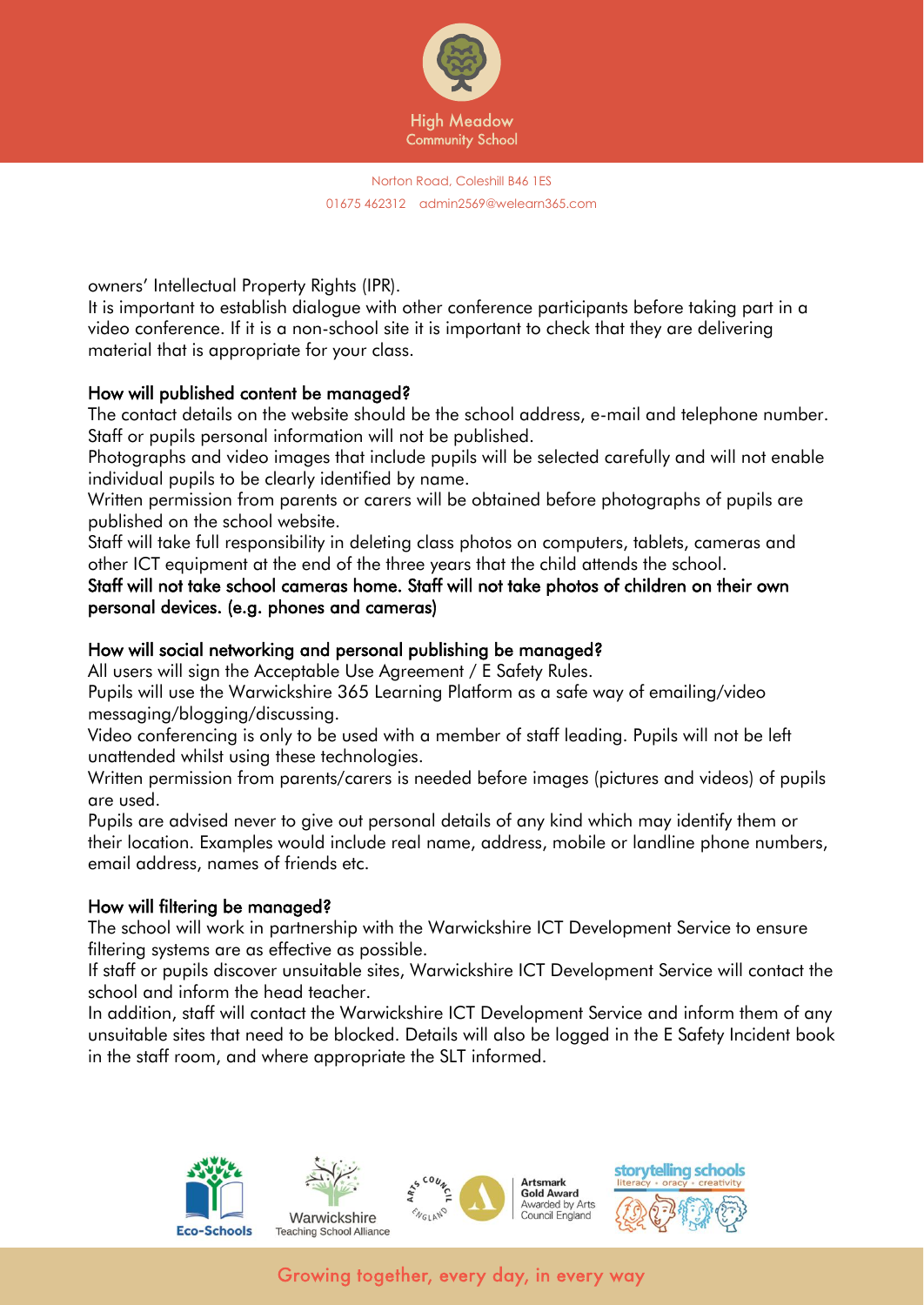

owners' Intellectual Property Rights (IPR).

It is important to establish dialogue with other conference participants before taking part in a video conference. If it is a non-school site it is important to check that they are delivering material that is appropriate for your class.

#### How will published content be managed?

The contact details on the website should be the school address, e-mail and telephone number. Staff or pupils personal information will not be published.

Photographs and video images that include pupils will be selected carefully and will not enable individual pupils to be clearly identified by name.

Written permission from parents or carers will be obtained before photographs of pupils are published on the school website.

Staff will take full responsibility in deleting class photos on computers, tablets, cameras and other ICT equipment at the end of the three years that the child attends the school.

#### Staff will not take school cameras home. Staff will not take photos of children on their own personal devices. (e.g. phones and cameras)

# How will social networking and personal publishing be managed?

All users will sign the Acceptable Use Agreement / E Safety Rules.

Pupils will use the Warwickshire 365 Learning Platform as a safe way of emailing/video messaging/blogging/discussing.

Video conferencing is only to be used with a member of staff leading. Pupils will not be left unattended whilst using these technologies.

Written permission from parents/carers is needed before images (pictures and videos) of pupils are used.

Pupils are advised never to give out personal details of any kind which may identify them or their location. Examples would include real name, address, mobile or landline phone numbers, email address, names of friends etc.

#### How will filtering be managed?

The school will work in partnership with the Warwickshire ICT Development Service to ensure filtering systems are as effective as possible.

If staff or pupils discover unsuitable sites, Warwickshire ICT Development Service will contact the school and inform the head teacher.

In addition, staff will contact the Warwickshire ICT Development Service and inform them of any unsuitable sites that need to be blocked. Details will also be logged in the E Safety Incident book in the staff room, and where appropriate the SLT informed.

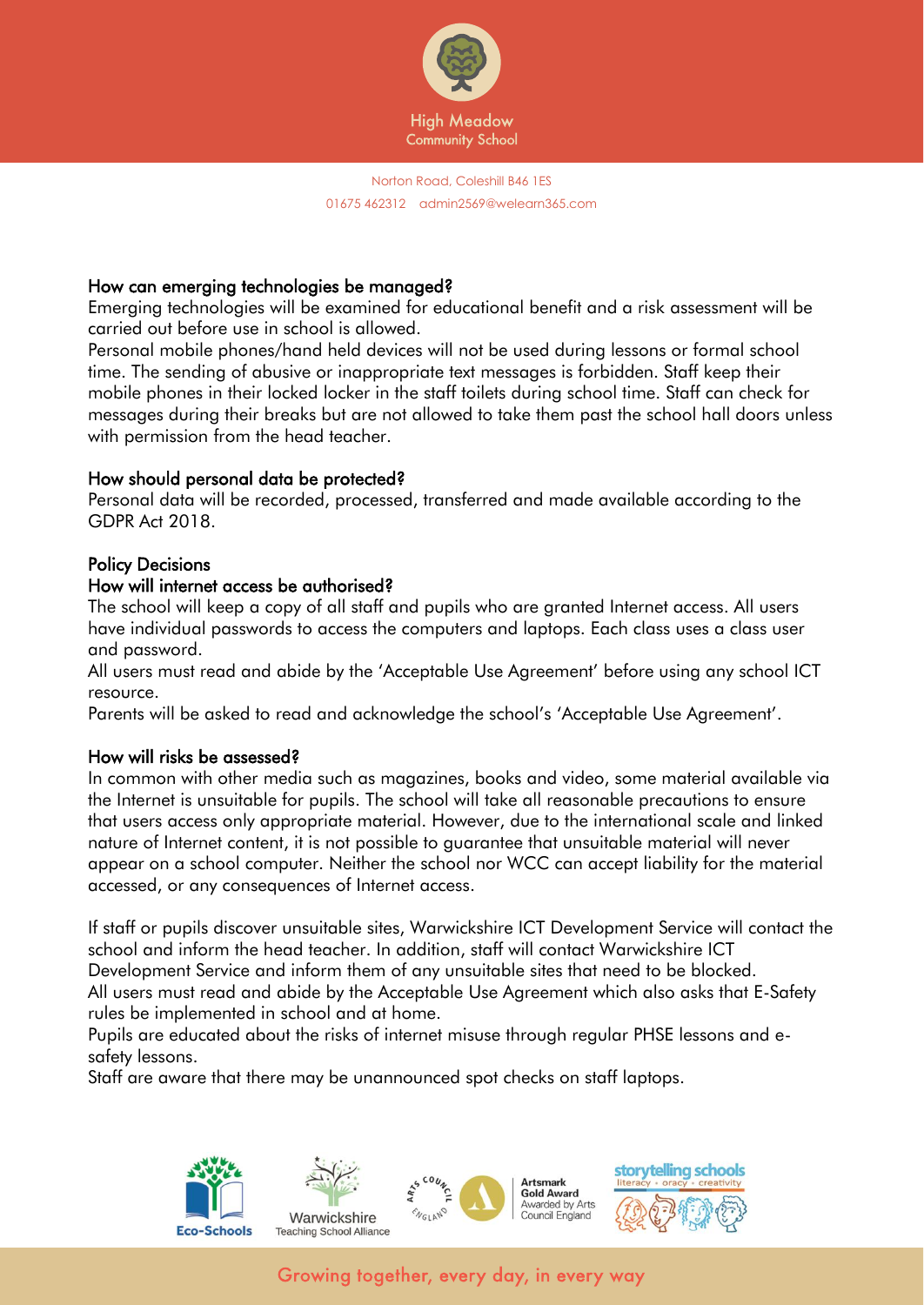

# How can emerging technologies be managed?

Emerging technologies will be examined for educational benefit and a risk assessment will be carried out before use in school is allowed.

Personal mobile phones/hand held devices will not be used during lessons or formal school time. The sending of abusive or inappropriate text messages is forbidden. Staff keep their mobile phones in their locked locker in the staff toilets during school time. Staff can check for messages during their breaks but are not allowed to take them past the school hall doors unless with permission from the head teacher.

#### How should personal data be protected?

Personal data will be recorded, processed, transferred and made available according to the GDPR Act 2018.

#### Policy Decisions

#### How will internet access be authorised?

The school will keep a copy of all staff and pupils who are granted Internet access. All users have individual passwords to access the computers and laptops. Each class uses a class user and password.

All users must read and abide by the 'Acceptable Use Agreement' before using any school ICT resource.

Parents will be asked to read and acknowledge the school's 'Acceptable Use Agreement'.

#### How will risks be assessed?

In common with other media such as magazines, books and video, some material available via the Internet is unsuitable for pupils. The school will take all reasonable precautions to ensure that users access only appropriate material. However, due to the international scale and linked nature of Internet content, it is not possible to guarantee that unsuitable material will never appear on a school computer. Neither the school nor WCC can accept liability for the material accessed, or any consequences of Internet access.

If staff or pupils discover unsuitable sites, Warwickshire ICT Development Service will contact the school and inform the head teacher. In addition, staff will contact Warwickshire ICT Development Service and inform them of any unsuitable sites that need to be blocked. All users must read and abide by the Acceptable Use Agreement which also asks that E-Safety rules be implemented in school and at home.

Pupils are educated about the risks of internet misuse through regular PHSE lessons and esafety lessons.

Staff are aware that there may be unannounced spot checks on staff laptops.

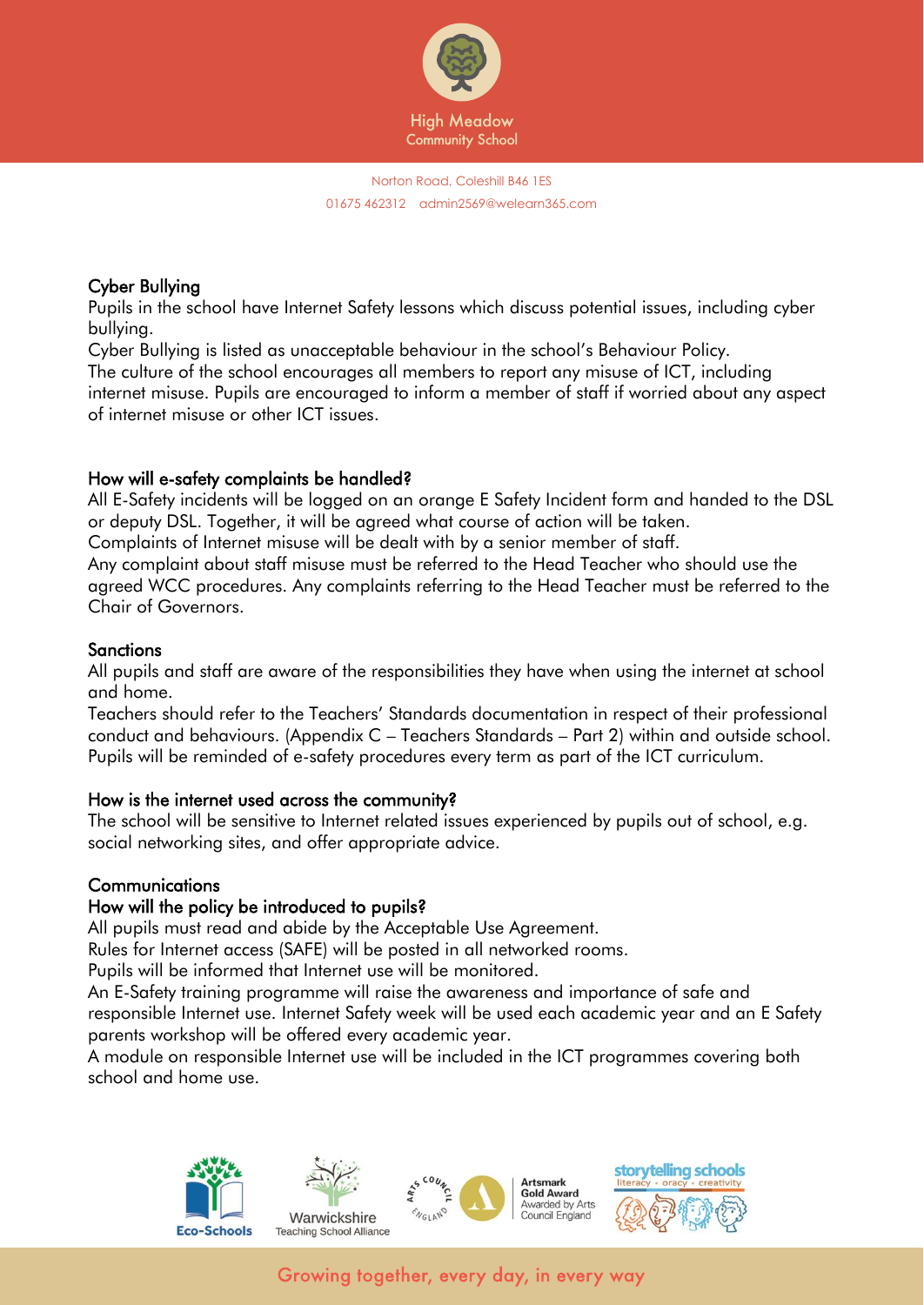

# Cyber Bullying

Pupils in the school have Internet Safety lessons which discuss potential issues, including cyber bullying.

Cyber Bullying is listed as unacceptable behaviour in the school's Behaviour Policy. The culture of the school encourages all members to report any misuse of ICT, including internet misuse. Pupils are encouraged to inform a member of staff if worried about any aspect of internet misuse or other ICT issues.

# How will e-safety complaints be handled?

All E-Safety incidents will be logged on an orange E Safety Incident form and handed to the DSL or deputy DSL. Together, it will be agreed what course of action will be taken.

Complaints of Internet misuse will be dealt with by a senior member of staff.

Any complaint about staff misuse must be referred to the Head Teacher who should use the agreed WCC procedures. Any complaints referring to the Head Teacher must be referred to the Chair of Governors.

# **Sanctions**

All pupils and staff are aware of the responsibilities they have when using the internet at school and home.

Teachers should refer to the Teachers' Standards documentation in respect of their professional conduct and behaviours. (Appendix C – Teachers Standards – Part 2) within and outside school. Pupils will be reminded of e-safety procedures every term as part of the ICT curriculum.

#### How is the internet used across the community?

The school will be sensitive to Internet related issues experienced by pupils out of school, e.g. social networking sites, and offer appropriate advice.

# **Communications**

# How will the policy be introduced to pupils?

All pupils must read and abide by the Acceptable Use Agreement.

Rules for Internet access (SAFE) will be posted in all networked rooms.

Pupils will be informed that Internet use will be monitored.

An E-Safety training programme will raise the awareness and importance of safe and responsible Internet use. Internet Safety week will be used each academic year and an E Safety parents workshop will be offered every academic year.

A module on responsible Internet use will be included in the ICT programmes covering both school and home use.